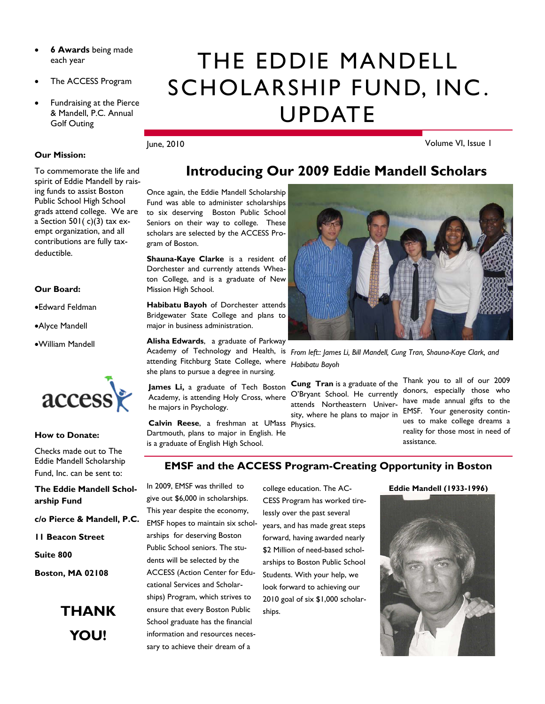- **6 Awards** being made each year
- The ACCESS Program
- Fundraising at the Pierce & Mandell, P.C. Annual Golf Outing

#### **Our Mission:**

To commemorate the life and spirit of Eddie Mandell by raising funds to assist Boston Public School High School grads attend college. We are a Section 501( $c$ )(3) tax exempt organization, and all contributions are fully taxdeductible.

#### **Our Board:**

•Edward Feldman

•Alyce Mandell

•William Mandell



**How to Donate:** 

Checks made out to The Eddie Mandell Scholarship Fund, Inc. can be sent to:

**The Eddie Mandell Scholarship Fund** 

**c/o Pierce & Mandell, P.C.** 

**11 Beacon Street** 

**Suite 800** 

**Boston, MA 02108** 



# THE EDDIE MANDELL SCHOLARSHIP FUND, INC. UPDATE

**Introducing Our 2009 Eddie Mandell Scholars** 

#### June, 2010

gram of Boston.

Mission High School.

major in business administration.

he majors in Psychology.

**Alisha Edwards**, a graduate of Parkway

attending Fitchburg State College, where she plans to pursue a degree in nursing. James Li, a graduate of Tech Boston Academy, is attending Holy Cross, where

Dartmouth, plans to major in English. He is a graduate of English High School.

Volume VI, Issue 1

### Once again, the Eddie Mandell Scholarship Fund was able to administer scholarships to six deserving Boston Public School Seniors on their way to college. These scholars are selected by the ACCESS Pro-**Shauna-Kaye Clarke** is a resident of Dorchester and currently attends Wheaton College, and is a graduate of New **Habibatu Bayoh** of Dorchester attends Bridgewater State College and plans to

Academy of Technology and Health, is *From left:: James Li, Bill Mandell, Cung Tran, Shauna-Kaye Clark, and Habibatu Bayoh* 

**Calvin Reese**, a freshman at UMass Physics. **Cung Tran** is a graduate of the O'Bryant School. He currently attends Northeastern University, where he plans to major in

Thank you to all of our 2009 donors, especially those who have made annual gifts to the EMSF. Your generosity continues to make college dreams a reality for those most in need of assistance.

#### **EMSF and the ACCESS Program-Creating Opportunity in Boston**

In 2009, EMSF was thrilled to give out \$6,000 in scholarships. This year despite the economy, EMSF hopes to maintain six scholarships for deserving Boston Public School seniors. The students will be selected by the ACCESS (Action Center for Educational Services and Scholarships) Program, which strives to ensure that every Boston Public School graduate has the financial information and resources necessary to achieve their dream of a

college education. The AC-CESS Program has worked tirelessly over the past several years, and has made great steps forward, having awarded nearly \$2 Million of need-based scholarships to Boston Public School Students. With your help, we look forward to achieving our 2010 goal of six \$1,000 scholarships.

#### **Eddie Mandell (1933-1996)**

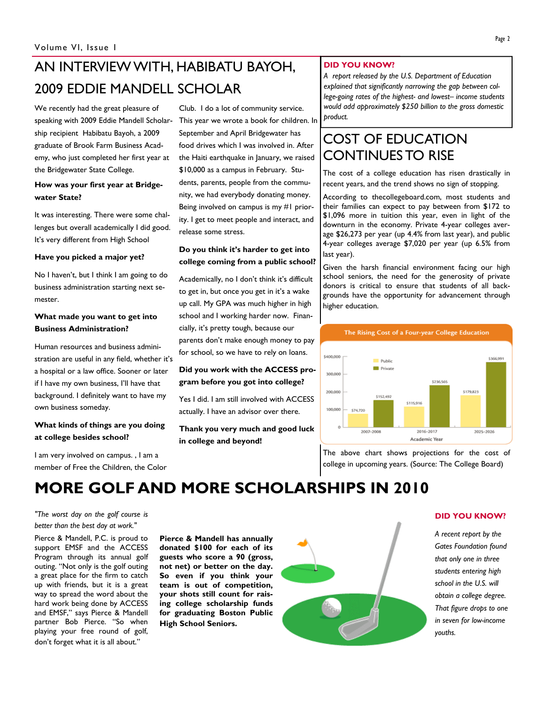# AN INTERVIEW WITH, HABIBATU BAYOH, 2009 EDDIE MANDELL SCHOLAR

We recently had the great pleasure of speaking with 2009 Eddie Mandell Scholarship recipient Habibatu Bayoh, a 2009 graduate of Brook Farm Business Academy, who just completed her first year at the Bridgewater State College.

#### **How was your first year at Bridgewater State?**

It was interesting. There were some challenges but overall academically I did good. It's very different from High School

#### **Have you picked a major yet?**

No I haven't, but I think I am going to do business administration starting next semester.

#### **What made you want to get into Business Administration?**

Human resources and business administration are useful in any field, whether it's a hospital or a law office. Sooner or later if I have my own business, I'll have that background. I definitely want to have my own business someday.

#### **What kinds of things are you doing at college besides school?**

I am very involved on campus. , I am a member of Free the Children, the Color

Club. I do a lot of community service. This year we wrote a book for children. In September and April Bridgewater has food drives which I was involved in. After the Haiti earthquake in January, we raised \$10,000 as a campus in February. Students, parents, people from the community, we had everybody donating money. Being involved on campus is my #1 priority. I get to meet people and interact, and release some stress.

#### **Do you think it's harder to get into college coming from a public school?**

Academically, no I don't think it's difficult to get in, but once you get in it's a wake up call. My GPA was much higher in high school and I working harder now. Financially, it's pretty tough, because our parents don't make enough money to pay for school, so we have to rely on loans.

#### **Did you work with the ACCESS program before you got into college?**

Yes I did. I am still involved with ACCESS actually. I have an advisor over there.

#### **Thank you very much and good luck in college and beyond!**

#### **DID YOU KNOW?**

*A report released by the U.S. Department of Education explained that significantly narrowing the gap between college-going rates of the highest- and lowest– income students would add approximately \$250 billion to the gross domestic product.*

### COST OF EDUCATION CONTINUES TO RISE

The cost of a college education has risen drastically in recent years, and the trend shows no sign of stopping.

According to thecollegeboard.com, most students and their families can expect to pay between from \$172 to \$1,096 more in tuition this year, even in light of the downturn in the economy. Private 4-year colleges average \$26,273 per year (up 4.4% from last year), and public 4-year colleges average \$7,020 per year (up 6.5% from last year).

Given the harsh financial environment facing our high school seniors, the need for the generosity of private donors is critical to ensure that students of all backgrounds have the opportunity for advancement through higher education.



The above chart shows projections for the cost of college in upcoming years. (Source: The College Board)

## **MORE GOLF AND MORE SCHOLARSHIPS IN 2010**

*"The worst day on the golf course is better than the best day at work."*

Pierce & Mandell, P.C. is proud to support EMSF and the ACCESS Program through its annual golf outing. "Not only is the golf outing a great place for the firm to catch up with friends, but it is a great way to spread the word about the hard work being done by ACCESS and EMSF," says Pierce & Mandell partner Bob Pierce. "So when playing your free round of golf, don't forget what it is all about."

**Pierce & Mandell has annually donated \$100 for each of its guests who score a 90 (gross, not net) or better on the day. So even if you think your team is out of competition, your shots still count for raising college scholarship funds for graduating Boston Public High School Seniors.** 



#### **DID YOU KNOW?**

*A recent report by the Gates Foundation found that only one in three students entering high school in the U.S. will obtain a college degree. That figure drops to one in seven for low-income youths.*